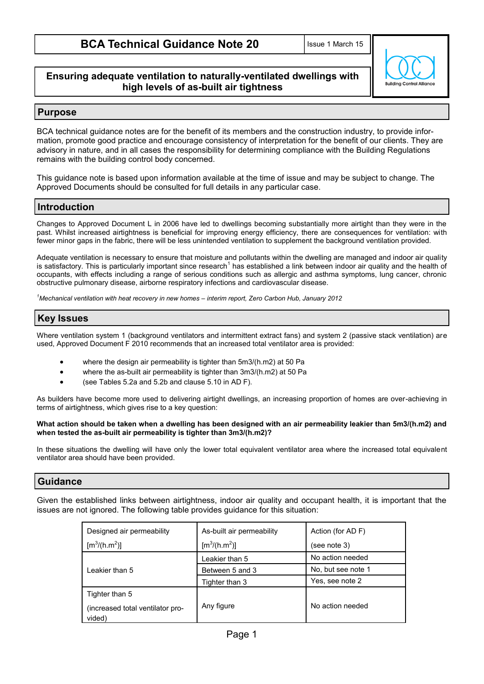# **Ensuring adequate ventilation to naturally-ventilated dwellings with high levels of as-built air tightness**

## **Purpose**

BCA technical guidance notes are for the benefit of its members and the construction industry, to provide information, promote good practice and encourage consistency of interpretation for the benefit of our clients. They are advisory in nature, and in all cases the responsibility for determining compliance with the Building Regulations remains with the building control body concerned.

This guidance note is based upon information available at the time of issue and may be subject to change. The Approved Documents should be consulted for full details in any particular case.

# **Introduction**

Changes to Approved Document L in 2006 have led to dwellings becoming substantially more airtight than they were in the past. Whilst increased airtightness is beneficial for improving energy efficiency, there are consequences for ventilation: with fewer minor gaps in the fabric, there will be less unintended ventilation to supplement the background ventilation provided.

Adequate ventilation is necessary to ensure that moisture and pollutants within the dwelling are managed and indoor air quality is satisfactory. This is particularly important since research<sup>1</sup> has established a link between indoor air quality and the health of occupants, with effects including a range of serious conditions such as allergic and asthma symptoms, lung cancer, chronic obstructive pulmonary disease, airborne respiratory infections and cardiovascular disease.

*<sup>1</sup>Mechanical ventilation with heat recovery in new homes – interim report, Zero Carbon Hub, January 2012*

### **Key Issues**

Where ventilation system 1 (background ventilators and intermittent extract fans) and system 2 (passive stack ventilation) are used, Approved Document F 2010 recommends that an increased total ventilator area is provided:

- where the design air permeability is tighter than 5m3/(h.m2) at 50 Pa
- where the as-built air permeability is tighter than 3m3/(h.m2) at 50 Pa
- (see Tables 5.2a and 5.2b and clause 5.10 in AD F).

As builders have become more used to delivering airtight dwellings, an increasing proportion of homes are over-achieving in terms of airtightness, which gives rise to a key question:

#### **What action should be taken when a dwelling has been designed with an air permeability leakier than 5m3/(h.m2) and when tested the as-built air permeability is tighter than 3m3/(h.m2)?**

In these situations the dwelling will have only the lower total equivalent ventilator area where the increased total equivalent ventilator area should have been provided.

# **Guidance**

Given the established links between airtightness, indoor air quality and occupant health, it is important that the issues are not ignored. The following table provides guidance for this situation:

| Designed air permeability                  | As-built air permeability | Action (for AD F)  |
|--------------------------------------------|---------------------------|--------------------|
| [m <sup>3</sup> /(h.m <sup>2</sup> )]      | $\rm [m^3/(h.m^2)]$       | (see note 3)       |
| Leakier than 5                             | Leakier than 5            | No action needed   |
|                                            | Between 5 and 3           | No, but see note 1 |
|                                            | Tighter than 3            | Yes, see note 2    |
| Tighter than 5                             |                           |                    |
| (increased total ventilator pro-<br>vided) | Any figure                | No action needed   |